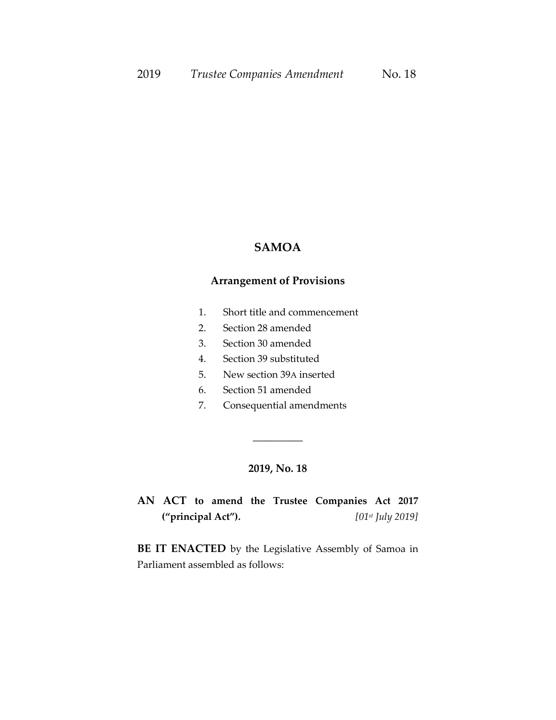#### **SAMOA**

### **Arrangement of Provisions**

- 1. Short title and commencement
- 2. Section 28 amended
- 3. Section 30 amended
- 4. Section 39 substituted
- 5. New section 39A inserted
- 6. Section 51 amended
- 7. Consequential amendments

#### **2019, No. 18**

\_\_\_\_\_\_\_\_\_\_

# **AN ACT to amend the Trustee Companies Act 2017 ("principal Act").** *[01st July 2019]*

**BE IT ENACTED** by the Legislative Assembly of Samoa in Parliament assembled as follows: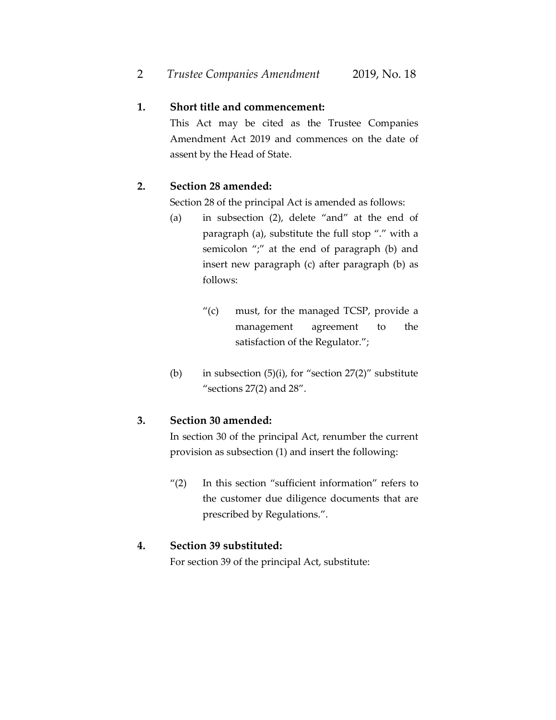# **1. Short title and commencement:**

This Act may be cited as the Trustee Companies Amendment Act 2019 and commences on the date of assent by the Head of State.

# **2. Section 28 amended:**

Section 28 of the principal Act is amended as follows:

- (a) in subsection (2), delete "and" at the end of paragraph (a), substitute the full stop "." with a semicolon ";" at the end of paragraph (b) and insert new paragraph (c) after paragraph (b) as follows:
	- "(c) must, for the managed TCSP, provide a management agreement to the satisfaction of the Regulator.";
- (b) in subsection  $(5)(i)$ , for "section  $27(2)$ " substitute "sections 27(2) and 28".

# **3. Section 30 amended:**

In section 30 of the principal Act, renumber the current provision as subsection (1) and insert the following:

" $(2)$  In this section "sufficient information" refers to the customer due diligence documents that are prescribed by Regulations.".

# **4. Section 39 substituted:**

For section 39 of the principal Act, substitute: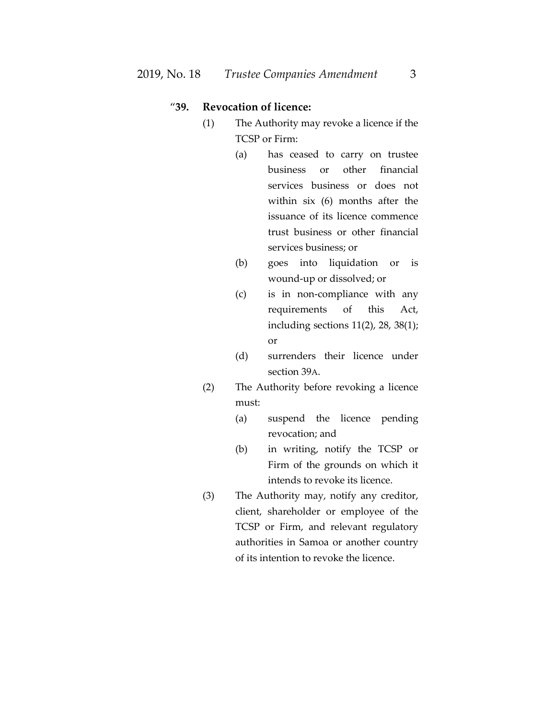### "**39. Revocation of licence:**

- (1) The Authority may revoke a licence if the TCSP or Firm:
	- (a) has ceased to carry on trustee business or other financial services business or does not within six (6) months after the issuance of its licence commence trust business or other financial services business; or
	- (b) goes into liquidation or is wound-up or dissolved; or
	- (c) is in non-compliance with any requirements of this Act, including sections 11(2), 28, 38(1); or
	- (d) surrenders their licence under section 39A.
- (2) The Authority before revoking a licence must:
	- (a) suspend the licence pending revocation; and
	- (b) in writing, notify the TCSP or Firm of the grounds on which it intends to revoke its licence.
- (3) The Authority may, notify any creditor, client, shareholder or employee of the TCSP or Firm, and relevant regulatory authorities in Samoa or another country of its intention to revoke the licence.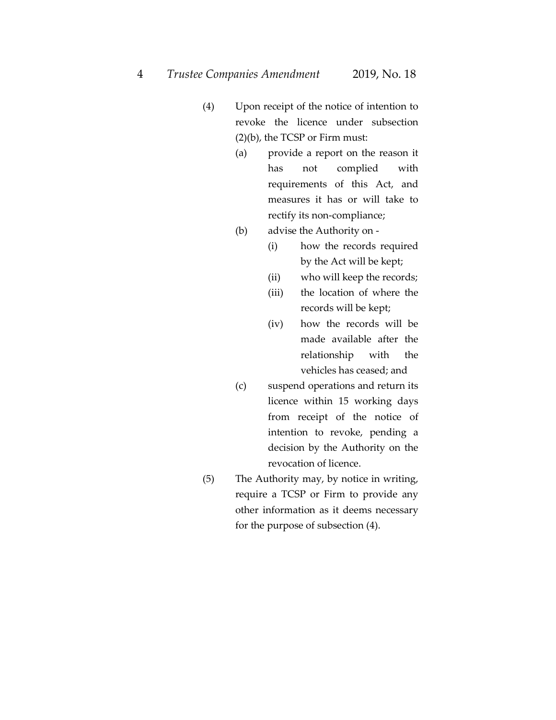- (4) Upon receipt of the notice of intention to revoke the licence under subsection (2)(b), the TCSP or Firm must:
	- (a) provide a report on the reason it has not complied with requirements of this Act, and measures it has or will take to rectify its non-compliance;
	- (b) advise the Authority on
		- (i) how the records required by the Act will be kept;
		- (ii) who will keep the records;
		- (iii) the location of where the records will be kept;
		- (iv) how the records will be made available after the relationship with the vehicles has ceased; and
	- (c) suspend operations and return its licence within 15 working days from receipt of the notice of intention to revoke, pending a decision by the Authority on the revocation of licence.
- (5) The Authority may, by notice in writing, require a TCSP or Firm to provide any other information as it deems necessary for the purpose of subsection (4).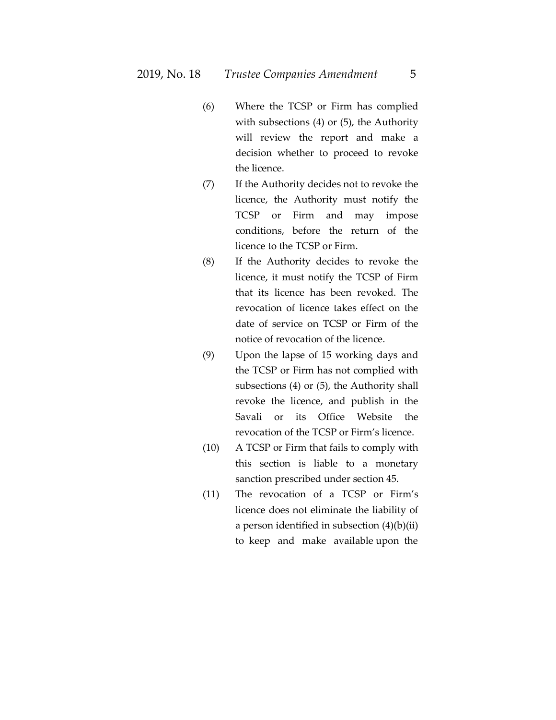- (6) Where the TCSP or Firm has complied with subsections (4) or (5), the Authority will review the report and make a decision whether to proceed to revoke the licence.
- (7) If the Authority decides not to revoke the licence, the Authority must notify the TCSP or Firm and may impose conditions, before the return of the licence to the TCSP or Firm.
- (8) If the Authority decides to revoke the licence, it must notify the TCSP of Firm that its licence has been revoked. The revocation of licence takes effect on the date of service on TCSP or Firm of the notice of revocation of the licence.
- (9) Upon the lapse of 15 working days and the TCSP or Firm has not complied with subsections (4) or (5), the Authority shall revoke the licence, and publish in the Savali or its Office Website the revocation of the TCSP or Firm's licence.
- (10) A TCSP or Firm that fails to comply with this section is liable to a monetary sanction prescribed under section 45.
- (11) The revocation of a TCSP or Firm's licence does not eliminate the liability of a person identified in subsection (4)(b)(ii) to keep and make available upon the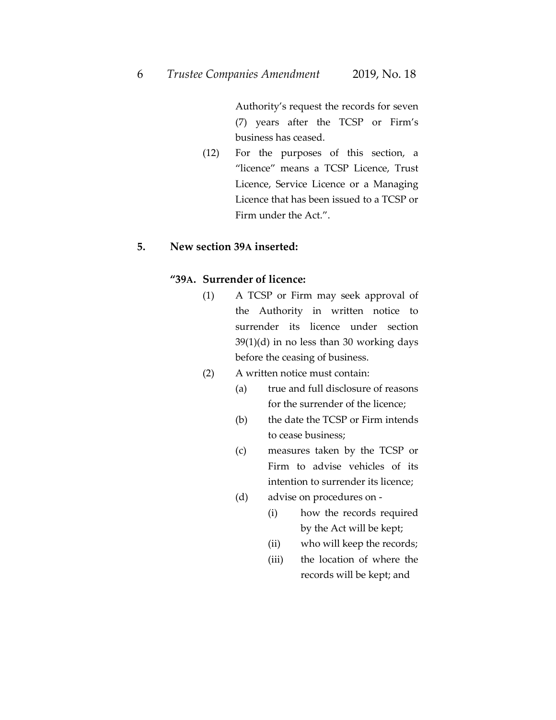Authority's request the records for seven (7) years after the TCSP or Firm's business has ceased.

(12) For the purposes of this section, a "licence" means a TCSP Licence, Trust Licence, Service Licence or a Managing Licence that has been issued to a TCSP or Firm under the Act.".

#### **5. New section 39A inserted:**

#### **"39A. Surrender of licence:**

- (1) A TCSP or Firm may seek approval of the Authority in written notice to surrender its licence under section 39(1)(d) in no less than 30 working days before the ceasing of business.
- (2) A written notice must contain:
	- (a) true and full disclosure of reasons for the surrender of the licence;
	- (b) the date the TCSP or Firm intends to cease business;
	- (c) measures taken by the TCSP or Firm to advise vehicles of its intention to surrender its licence;
	- (d) advise on procedures on
		- (i) how the records required by the Act will be kept;
		- (ii) who will keep the records;
		- (iii) the location of where the records will be kept; and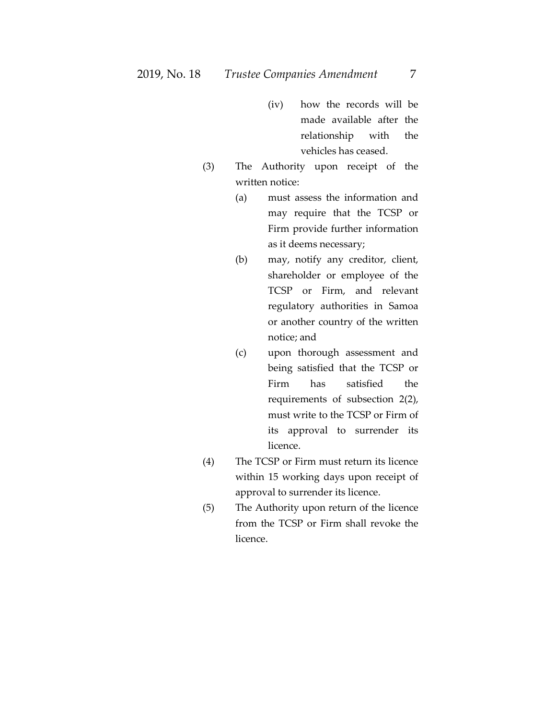- (iv) how the records will be made available after the relationship with the vehicles has ceased.
- (3) The Authority upon receipt of the written notice:
	- (a) must assess the information and may require that the TCSP or Firm provide further information as it deems necessary;
	- (b) may, notify any creditor, client, shareholder or employee of the TCSP or Firm, and relevant regulatory authorities in Samoa or another country of the written notice; and
	- (c) upon thorough assessment and being satisfied that the TCSP or Firm has satisfied the requirements of subsection 2(2), must write to the TCSP or Firm of its approval to surrender its licence.
- (4) The TCSP or Firm must return its licence within 15 working days upon receipt of approval to surrender its licence.
- (5) The Authority upon return of the licence from the TCSP or Firm shall revoke the licence.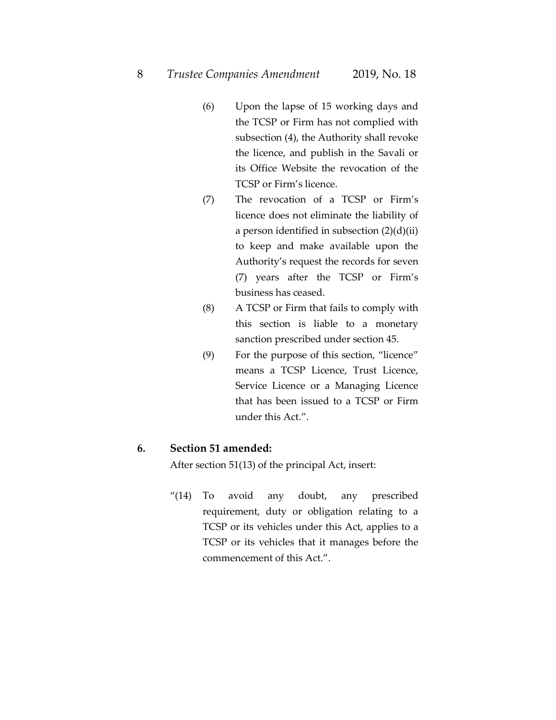- (6) Upon the lapse of 15 working days and the TCSP or Firm has not complied with subsection (4), the Authority shall revoke the licence, and publish in the Savali or its Office Website the revocation of the TCSP or Firm's licence.
- (7) The revocation of a TCSP or Firm's licence does not eliminate the liability of a person identified in subsection  $(2)(d)(ii)$ to keep and make available upon the Authority's request the records for seven (7) years after the TCSP or Firm's business has ceased.
- (8) A TCSP or Firm that fails to comply with this section is liable to a monetary sanction prescribed under section 45.
- (9) For the purpose of this section, "licence" means a TCSP Licence, Trust Licence, Service Licence or a Managing Licence that has been issued to a TCSP or Firm under this Act.".

#### **6. Section 51 amended:**

After section 51(13) of the principal Act, insert:

"(14) To avoid any doubt, any prescribed requirement, duty or obligation relating to a TCSP or its vehicles under this Act, applies to a TCSP or its vehicles that it manages before the commencement of this Act.".